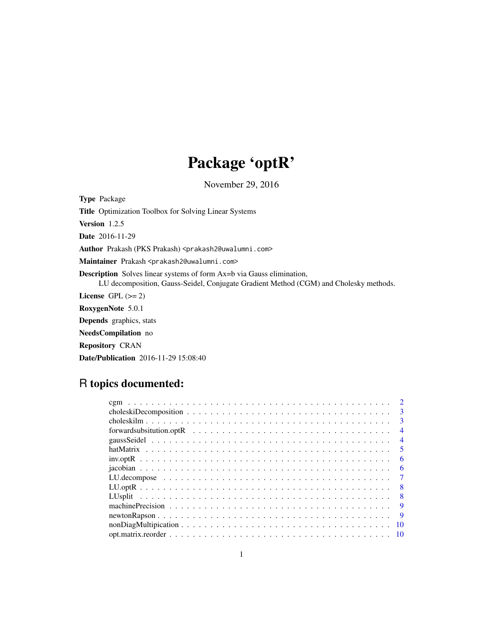## Package 'optR'

November 29, 2016

Type Package Title Optimization Toolbox for Solving Linear Systems Version 1.2.5 Date 2016-11-29 Author Prakash (PKS Prakash) <prakash2@uwalumni.com> Maintainer Prakash <prakash2@uwalumni.com> Description Solves linear systems of form Ax=b via Gauss elimination, LU decomposition, Gauss-Seidel, Conjugate Gradient Method (CGM) and Cholesky methods. License GPL  $(>= 2)$ RoxygenNote 5.0.1 Depends graphics, stats NeedsCompilation no Repository CRAN

## R topics documented:

Date/Publication 2016-11-29 15:08:40

|                                                                                                                    | $\mathcal{D}_{\mathcal{L}}$ |
|--------------------------------------------------------------------------------------------------------------------|-----------------------------|
|                                                                                                                    | $\mathbf{3}$                |
|                                                                                                                    | 3                           |
| forwardsubsitution.optR $\ldots \ldots \ldots \ldots \ldots \ldots \ldots \ldots \ldots \ldots \ldots \ldots$      | $\overline{4}$              |
|                                                                                                                    | $\overline{4}$              |
|                                                                                                                    | 5                           |
|                                                                                                                    | -6                          |
|                                                                                                                    | 6                           |
|                                                                                                                    | -7                          |
|                                                                                                                    | 8                           |
|                                                                                                                    | - 8                         |
|                                                                                                                    | 9                           |
|                                                                                                                    | -9                          |
| $nonDiagMultiplication \ldots \ldots \ldots \ldots \ldots \ldots \ldots \ldots \ldots \ldots \ldots \ldots \ldots$ | 10                          |
|                                                                                                                    |                             |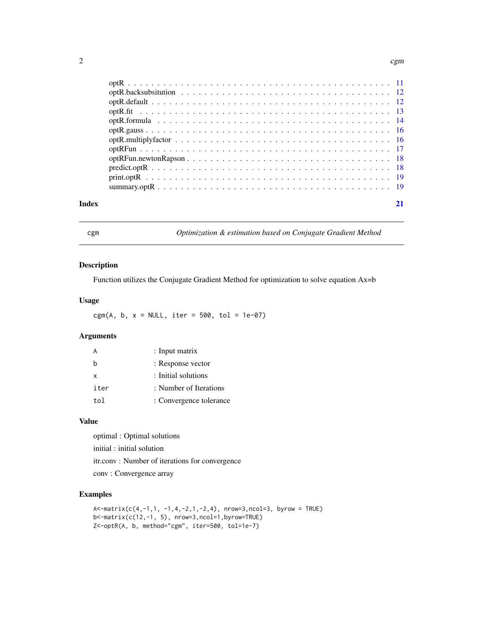<span id="page-1-0"></span>

| Index |  |  |  |  |  |  |  |  |  |  |  |  |  |  |  |  |  |
|-------|--|--|--|--|--|--|--|--|--|--|--|--|--|--|--|--|--|

cgm *Optimization & estimation based on Conjugate Gradient Method*

## Description

Function utilizes the Conjugate Gradient Method for optimization to solve equation Ax=b

## Usage

cgm(A, b, x = NULL, iter = 500, tol = 1e-07)

## Arguments

| A    | : Input matrix          |
|------|-------------------------|
| b    | : Response vector       |
| X    | : Initial solutions     |
| iter | : Number of Iterations  |
| tol  | : Convergence tolerance |

## Value

optimal : Optimal solutions

initial : initial solution

itr.conv : Number of iterations for convergence

conv : Convergence array

```
A < -matrix(c(4,-1,1, -1,4,-2,1,-2,4), nrow=3,ncol=3, byrow = TRUE)
b<-matrix(c(12,-1, 5), nrow=3,ncol=1,byrow=TRUE)
Z<-optR(A, b, method="cgm", iter=500, tol=1e-7)
```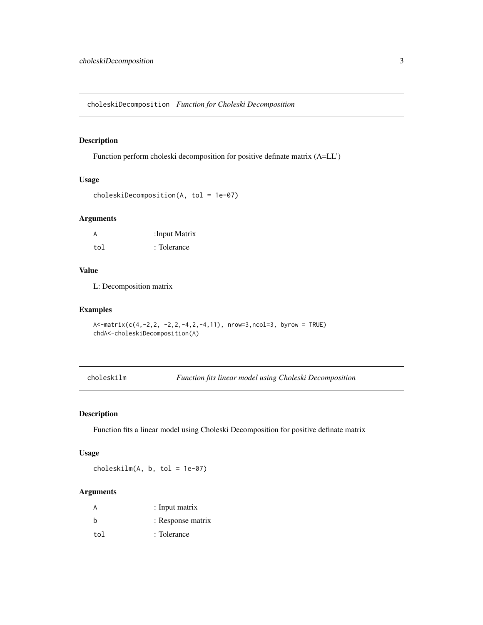<span id="page-2-0"></span>choleskiDecomposition *Function for Choleski Decomposition*

#### Description

Function perform choleski decomposition for positive definate matrix (A=LL')

## Usage

```
choleskiDecomposition(A, tol = 1e-07)
```
#### Arguments

| A   | :Input Matrix |
|-----|---------------|
| tol | : Tolerance   |

#### Value

L: Decomposition matrix

#### Examples

```
A<-matrix(c(4,-2,2, -2,2,-4,2,-4,11), nrow=3,ncol=3, byrow = TRUE)
chdA<-choleskiDecomposition(A)
```
choleskilm *Function fits linear model using Choleski Decomposition*

#### Description

Function fits a linear model using Choleski Decomposition for positive definate matrix

#### Usage

choleskilm(A, b, tol = 1e-07)

#### Arguments

| A   | : Input matrix    |
|-----|-------------------|
| b   | : Response matrix |
| tol | : Tolerance       |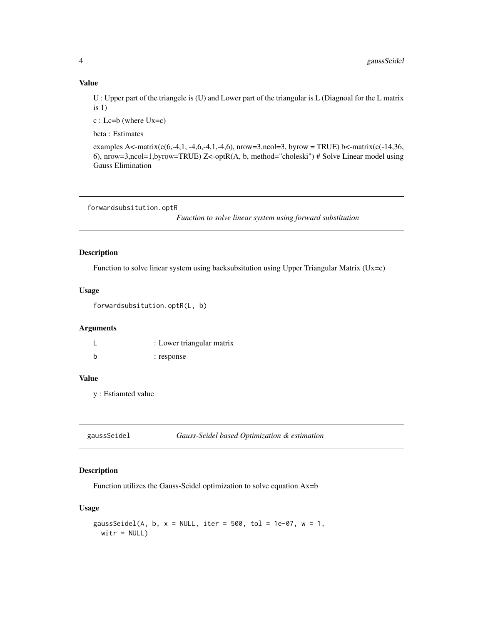#### Value

U : Upper part of the triangele is (U) and Lower part of the triangular is L (Diagnoal for the L matrix is 1)

c : Lc=b (where Ux=c)

beta : Estimates

examples A<-matrix(c(6,-4,1, -4,6,-4,1,-4,6), nrow=3,ncol=3, byrow = TRUE) b<-matrix(c(-14,36, 6), nrow=3,ncol=1,byrow=TRUE) Z<-optR(A, b, method="choleski") # Solve Linear model using Gauss Elimination

```
forwardsubsitution.optR
```
*Function to solve linear system using forward substitution*

## Description

Function to solve linear system using backsubsitution using Upper Triangular Matrix (Ux=c)

## Usage

```
forwardsubsitution.optR(L, b)
```
#### Arguments

|   | : Lower triangular matrix |
|---|---------------------------|
| h | : response                |

## Value

y : Estiamted value

| gaussSeidel | Gauss-Seidel based Optimization & estimation |  |  |
|-------------|----------------------------------------------|--|--|
|-------------|----------------------------------------------|--|--|

## Description

Function utilizes the Gauss-Seidel optimization to solve equation Ax=b

## Usage

```
gaussSeidel(A, b, x = NULL, iter = 500, tol = 1e-07, w = 1,
 witr = NULL
```
<span id="page-3-0"></span>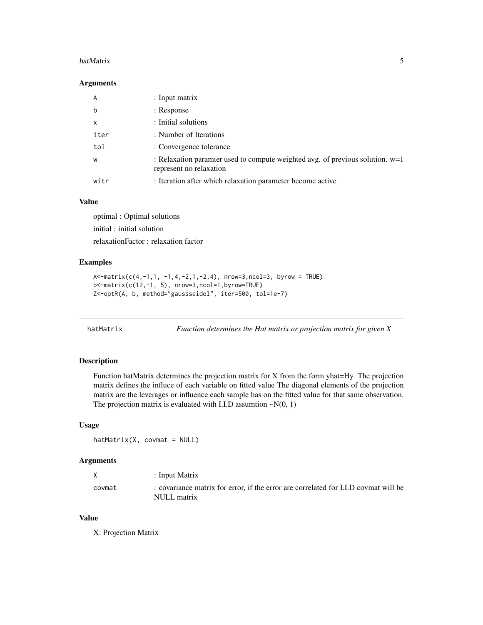#### <span id="page-4-0"></span>hatMatrix 5

#### Arguments

| A           | $:$ Input matrix                                                                                           |
|-------------|------------------------------------------------------------------------------------------------------------|
| $\mathbf b$ | : Response                                                                                                 |
| X           | : Initial solutions                                                                                        |
| iter        | : Number of Iterations                                                                                     |
| tol         | : Convergence tolerance                                                                                    |
| W           | : Relaxation paramter used to compute weighted avg. of previous solution. $w=1$<br>represent no relaxation |
| witr        | : Iteration after which relaxation parameter become active                                                 |

#### Value

optimal : Optimal solutions initial : initial solution relaxationFactor : relaxation factor

#### Examples

```
A \le -\text{matrix}(c(4,-1,1,-1,4,-2,1,-2,4), \text{nrow=3}, \text{ncol=3}, \text{byrow = TRUE})b<-matrix(c(12,-1, 5), nrow=3,ncol=1,byrow=TRUE)
Z<-optR(A, b, method="gaussseidel", iter=500, tol=1e-7)
```
hatMatrix *Function determines the Hat matrix or projection matrix for given X*

## Description

Function hatMatrix determines the projection matrix for X from the form yhat=Hy. The projection matrix defines the influce of each variable on fitted value The diagonal elements of the projection matrix are the leverages or influence each sample has on the fitted value for that same observation. The projection matrix is evaluated with I.I.D assumtion  $\sim N(0, 1)$ 

#### Usage

 $hatMatrix(X, covmat = NULL)$ 

## Arguments

| : Input Matrix                                                                                     |
|----------------------------------------------------------------------------------------------------|
| : covariance matrix for error, if the error are correlated for I.I.D covmat will be<br>NULL matrix |
|                                                                                                    |

## Value

X: Projection Matrix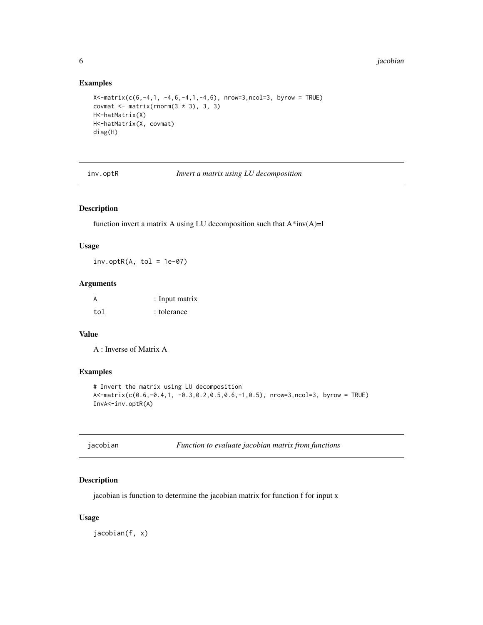## Examples

```
X <-matrix(c(6,-4,1, -4,6,-4,1,-4,6), nrow=3,ncol=3, byrow = TRUE)
covmat \leq matrix(rnorm(3 \neq 3), 3, 3)
H<-hatMatrix(X)
H<-hatMatrix(X, covmat)
diag(H)
```
inv.optR *Invert a matrix using LU decomposition*

## Description

function invert a matrix A using LU decomposition such that  $A^*inv(A)=I$ 

#### Usage

 $inv.$ opt $R(A, tol = 1e-07)$ 

#### Arguments

| A   | : Input matrix |
|-----|----------------|
| tol | : tolerance    |

## Value

A : Inverse of Matrix A

## Examples

```
# Invert the matrix using LU decomposition
A<-matrix(c(0.6,-0.4,1, -0.3,0.2,0.5,0.6,-1,0.5), nrow=3,ncol=3, byrow = TRUE)
InvA<-inv.optR(A)
```

| jacobian | Function to evaluate jacobian matrix from functions |
|----------|-----------------------------------------------------|
|----------|-----------------------------------------------------|

## Description

jacobian is function to determine the jacobian matrix for function f for input x

## Usage

jacobian(f, x)

<span id="page-5-0"></span>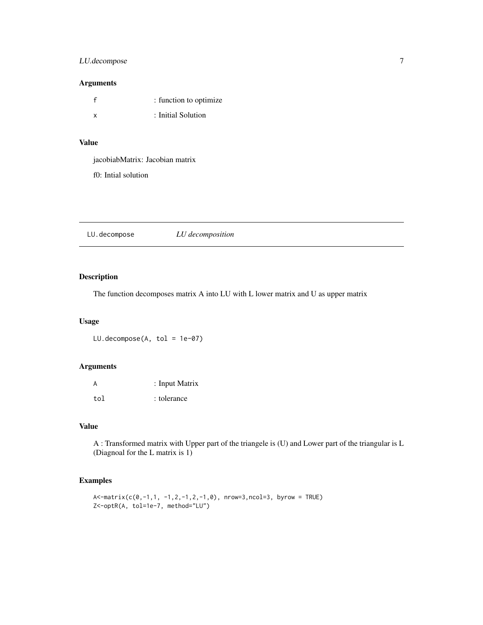## <span id="page-6-0"></span>LU.decompose 7

## Arguments

| $-\epsilon$ | : function to optimize |
|-------------|------------------------|
| X           | : Initial Solution     |

## Value

jacobiabMatrix: Jacobian matrix

f0: Intial solution

LU.decompose *LU decomposition*

## Description

The function decomposes matrix A into LU with L lower matrix and U as upper matrix

## Usage

LU.decompose(A, tol = 1e-07)

## Arguments

| A   | : Input Matrix |
|-----|----------------|
| tol | : tolerance    |

## Value

A : Transformed matrix with Upper part of the triangele is (U) and Lower part of the triangular is L (Diagnoal for the L matrix is 1)

```
A<-matrix(c(0,-1,1, -1,2,-1,2,-1,0), nrow=3,ncol=3, byrow = TRUE)
Z<-optR(A, tol=1e-7, method="LU")
```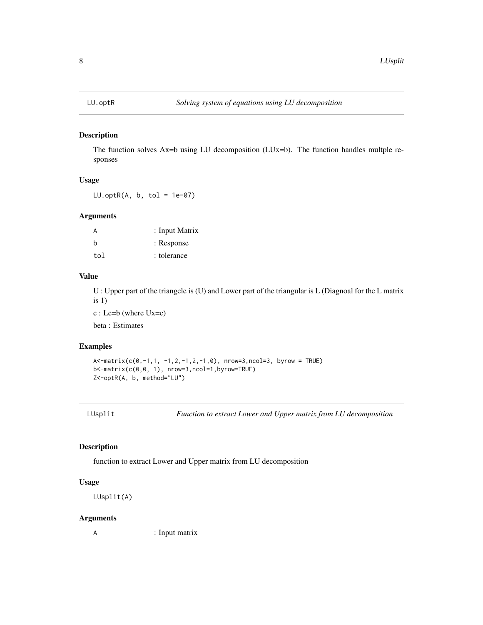<span id="page-7-0"></span>

#### Description

The function solves  $Ax=b$  using LU decomposition (LUx=b). The function handles multple responses

#### Usage

 $LU.openR(A, b, tol = 1e-07)$ 

#### Arguments

| A   | : Input Matrix |
|-----|----------------|
| h   | : Response     |
| tol | : tolerance    |

## Value

U : Upper part of the triangele is (U) and Lower part of the triangular is L (Diagnoal for the L matrix  $is 1)$ 

c : Lc=b (where Ux=c)

beta : Estimates

## Examples

```
A \le -\text{matrix}(c(0,-1,1,-1,2,-1,2,-1,0), \text{nrow=3}, \text{ncol=3}, \text{byrow = TRUE})b<-matrix(c(0,0, 1), nrow=3,ncol=1,byrow=TRUE)
Z<-optR(A, b, method="LU")
```
LUsplit *Function to extract Lower and Upper matrix from LU decomposition*

## Description

function to extract Lower and Upper matrix from LU decomposition

## Usage

LUsplit(A)

#### Arguments

A : Input matrix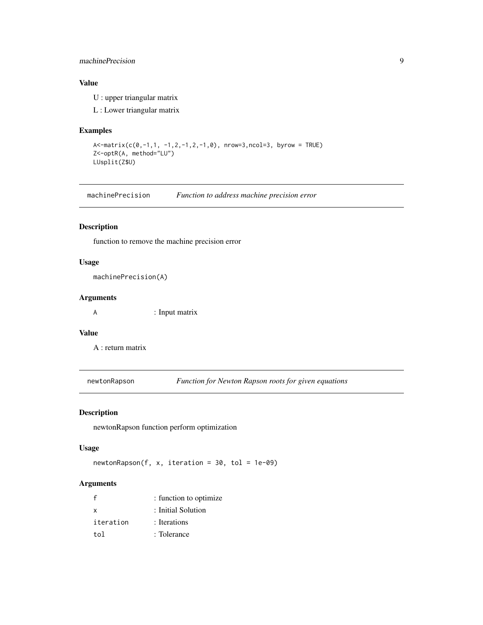## <span id="page-8-0"></span>machinePrecision 9

## Value

U : upper triangular matrix

L : Lower triangular matrix

## Examples

```
A<-matrix(c(0,-1,1, -1,2,-1,2,-1,0), nrow=3,ncol=3, byrow = TRUE)
Z<-optR(A, method="LU")
LUsplit(Z$U)
```
machinePrecision *Function to address machine precision error*

## Description

function to remove the machine precision error

## Usage

```
machinePrecision(A)
```
#### Arguments

A : Input matrix

#### Value

A : return matrix

newtonRapson *Function for Newton Rapson roots for given equations*

#### Description

newtonRapson function perform optimization

#### Usage

 $newtonRapson(f, x, iteration = 30, tol = 1e-09)$ 

#### Arguments

| $\mathsf{f}$ | : function to optimize |
|--------------|------------------------|
| x            | : Initial Solution     |
| iteration    | : Iterations           |
| tol          | : Tolerance            |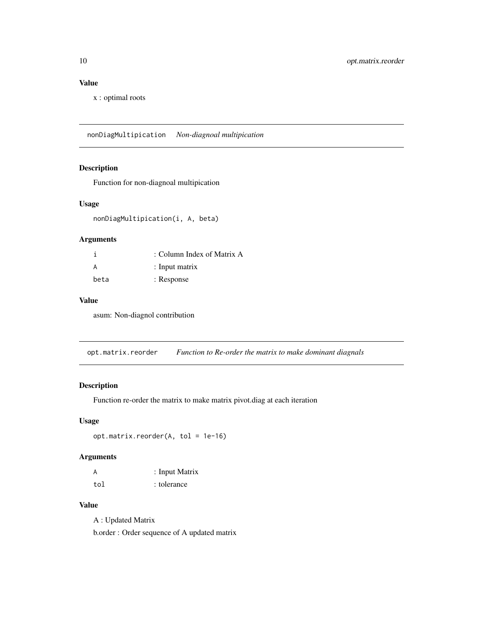## <span id="page-9-0"></span>Value

x : optimal roots

nonDiagMultipication *Non-diagnoal multipication*

## Description

Function for non-diagnoal multipication

#### Usage

nonDiagMultipication(i, A, beta)

## Arguments

|      | : Column Index of Matrix A |
|------|----------------------------|
| A    | $:$ Input matrix           |
| beta | : Response                 |

#### Value

asum: Non-diagnol contribution

opt.matrix.reorder *Function to Re-order the matrix to make dominant diagnals*

## Description

Function re-order the matrix to make matrix pivot.diag at each iteration

#### Usage

```
opt.matrix.reorder(A, tol = 1e-16)
```
## Arguments

| А   | : Input Matrix |
|-----|----------------|
| tol | : tolerance    |

## Value

A : Updated Matrix

b.order : Order sequence of A updated matrix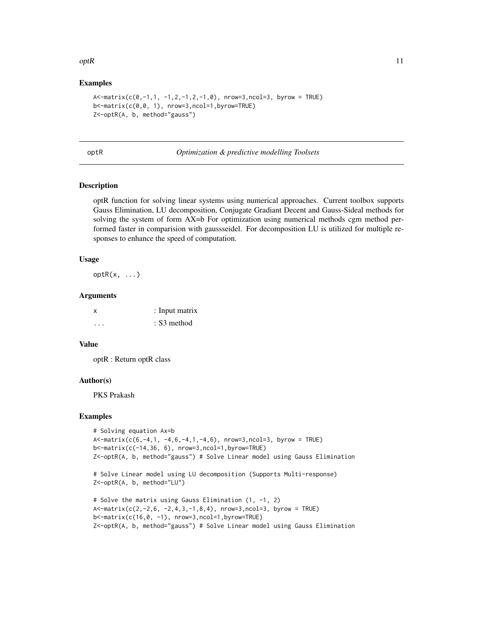#### <span id="page-10-0"></span> $optR$  11

#### Examples

```
A \le -\text{matrix}(c(0,-1,1,-1,2,-1,2,-1,0), nrow=3,ncol=3, byrow = TRUE)
b<-matrix(c(0,0, 1), nrow=3,ncol=1,byrow=TRUE)
Z<-optR(A, b, method="gauss")
```
optR *Optimization & predictive modelling Toolsets*

## Description

optR function for solving linear systems using numerical approaches. Current toolbox supports Gauss Elimination, LU decomposition, Conjugate Gradiant Decent and Gauss-Sideal methods for solving the system of form AX=b For optimization using numerical methods cgm method performed faster in comparision with gaussseidel. For decomposition LU is utilized for multiple responses to enhance the speed of computation.

#### Usage

 $optR(x, \ldots)$ 

#### Arguments

| X | : Input matrix |
|---|----------------|
| . | : S3 method    |

#### Value

optR : Return optR class

#### Author(s)

PKS Prakash

```
# Solving equation Ax=b
A \le -\text{matrix}(c(6,-4,1, -4,6,-4,1,-4,6), \text{nrow=3}, \text{ncol=3}, \text{byrow = TRUE})b<-matrix(c(-14,36, 6), nrow=3,ncol=1,byrow=TRUE)
Z<-optR(A, b, method="gauss") # Solve Linear model using Gauss Elimination
```

```
# Solve Linear model using LU decomposition (Supports Multi-response)
Z<-optR(A, b, method="LU")
```

```
# Solve the matrix using Gauss Elimination (1, -1, 2)
A \le -\text{matrix}(c(2,-2,6,-2,4,3,-1,8,4)), nrow=3,ncol=3, byrow = TRUE)
b<-matrix(c(16,0, -1), nrow=3,ncol=1,byrow=TRUE)
Z<-optR(A, b, method="gauss") # Solve Linear model using Gauss Elimination
```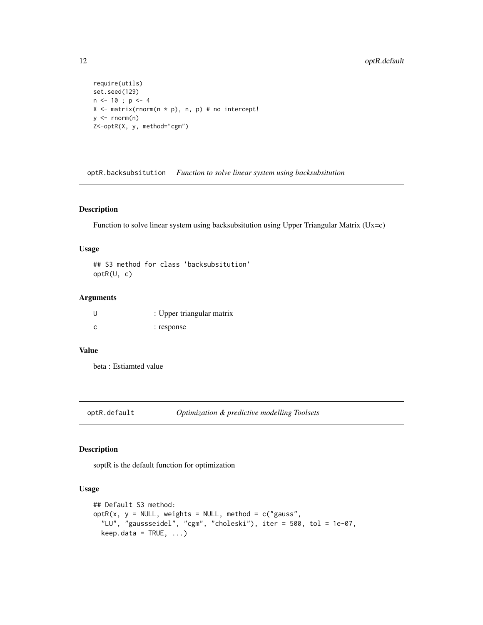```
require(utils)
set.seed(129)
n <- 10 ; p <- 4
X \leq matrix(rnorm(n * p), n, p) # no intercept!
y \le - rnorm(n)Z<-optR(X, y, method="cgm")
```
optR.backsubsitution *Function to solve linear system using backsubsitution*

#### Description

Function to solve linear system using backsubsitution using Upper Triangular Matrix (Ux=c)

#### Usage

## S3 method for class 'backsubsitution' optR(U, c)

#### Arguments

| U            | : Upper triangular matrix |
|--------------|---------------------------|
| $\mathsf{C}$ | : response                |

#### Value

beta : Estiamted value

optR.default *Optimization & predictive modelling Toolsets*

#### Description

soptR is the default function for optimization

## Usage

```
## Default S3 method:
optR(x, y = NULL, weights = NULL, method = c("gauss","LU", "gaussseidel", "cgm", "choleski"), iter = 500, tol = 1e-07,
  keep.data = TRUE, ...)
```
<span id="page-11-0"></span>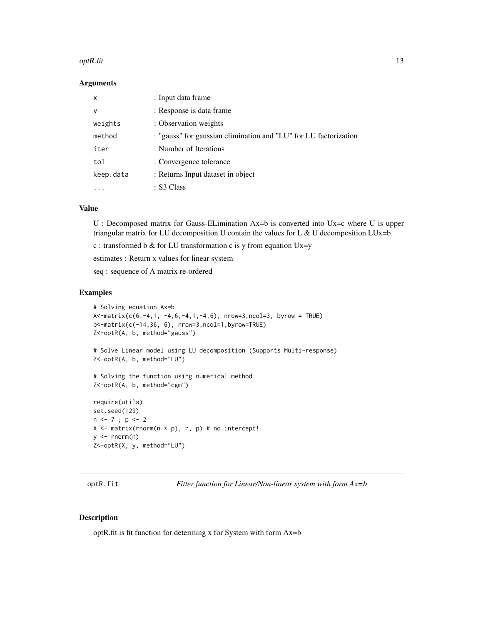#### <span id="page-12-0"></span> $optR.fit$  13

#### **Arguments**

| x         | : Input data frame                                               |
|-----------|------------------------------------------------------------------|
| у         | : Response is data frame                                         |
| weights   | : Observation weights                                            |
| method    | : "gauss" for gaussian elimination and "LU" for LU factorization |
| iter      | : Number of Iterations                                           |
| tol       | : Convergence tolerance                                          |
| keep.data | : Returns Input dataset in object                                |
|           | : S3 Class                                                       |

## Value

U : Decomposed matrix for Gauss-ELimination Ax=b is converted into Ux=c where U is upper triangular matrix for LU decomposition U contain the values for L  $\&$  U decomposition LUx=b

c : transformed b & for LU transformation c is y from equation  $Ux=y$ 

estimates : Return x values for linear system

seq : sequence of A matrix re-ordered

#### Examples

```
# Solving equation Ax=b
A \leq matrix(c(6,-4,1, -4,6,-4,1,-4,6), nrow=3,ncol=3, byrow = TRUE)
b<-matrix(c(-14,36, 6), nrow=3,ncol=1,byrow=TRUE)
Z<-optR(A, b, method="gauss")
# Solve Linear model using LU decomposition (Supports Multi-response)
Z<-optR(A, b, method="LU")
# Solving the function using numerical method
Z<-optR(A, b, method="cgm")
require(utils)
set.seed(129)
n \leq 7; p \leq 2X \leftarrow matrix(rnorm(n * p), n, p) # no intercept!
y \le - rnorm(n)Z<-optR(X, y, method="LU")
```
optR.fit *Fitter function for Linear/Non-linear system with form Ax=b*

#### Description

optR.fit is fit function for determing x for System with form Ax=b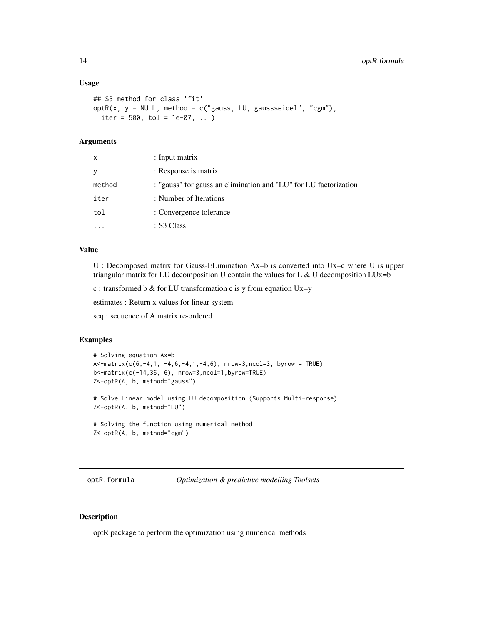#### Usage

```
## S3 method for class 'fit'
optR(x, y = NULL, method = c("gauss, LU, gaussseidel", "cgm"),
  iter = 500, tol = 1e-07, ...)
```
#### Arguments

| x      | $:$ Input matrix                                                 |
|--------|------------------------------------------------------------------|
|        | : Response is matrix                                             |
| method | : "gauss" for gaussian elimination and "LU" for LU factorization |
| iter   | : Number of Iterations                                           |
| tol    | : Convergence tolerance                                          |
|        | : S3 Class                                                       |

#### Value

U : Decomposed matrix for Gauss-ELimination Ax=b is converted into Ux=c where U is upper triangular matrix for LU decomposition U contain the values for L  $\&$  U decomposition LUx=b

c : transformed b & for LU transformation c is y from equation  $Ux=y$ 

estimates : Return x values for linear system

seq : sequence of A matrix re-ordered

## Examples

```
# Solving equation Ax=b
A<-matrix(c(6,-4,1, -4,6,-4,1,-4,6), nrow=3,ncol=3, byrow = TRUE)
b<-matrix(c(-14,36, 6), nrow=3,ncol=1,byrow=TRUE)
Z<-optR(A, b, method="gauss")
# Solve Linear model using LU decomposition (Supports Multi-response)
Z<-optR(A, b, method="LU")
# Solving the function using numerical method
Z<-optR(A, b, method="cgm")
```
optR.formula *Optimization & predictive modelling Toolsets*

## Description

optR package to perform the optimization using numerical methods

<span id="page-13-0"></span>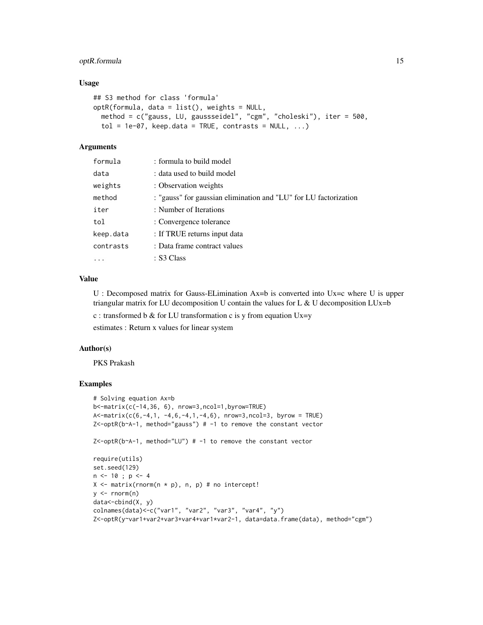## optR.formula 15

#### Usage

```
## S3 method for class 'formula'
optR(formula, data = list(), weights = NULL,
 method = c("gauss, LU, gaussseidel", "cgm", "choleski"), iter = 500,
  tol = 1e-07, keep.data = TRUE, contrasts = NULL, ...)
```
## Arguments

| formula   | : formula to build model                                         |
|-----------|------------------------------------------------------------------|
| data      | : data used to build model                                       |
| weights   | : Observation weights                                            |
| method    | : "gauss" for gaussian elimination and "LU" for LU factorization |
| iter      | : Number of Iterations                                           |
| tol       | : Convergence tolerance                                          |
| keep.data | : If TRUE returns input data                                     |
| contrasts | : Data frame contract values                                     |
| .         | : S3 Class                                                       |

#### Value

U : Decomposed matrix for Gauss-ELimination Ax=b is converted into Ux=c where U is upper triangular matrix for LU decomposition U contain the values for L & U decomposition LUx=b

c : transformed b & for LU transformation c is y from equation  $Ux=y$ 

estimates : Return x values for linear system

#### Author(s)

PKS Prakash

```
# Solving equation Ax=b
b<-matrix(c(-14,36, 6), nrow=3,ncol=1,byrow=TRUE)
A \le matrix(c(6,-4,1, -4,6,-4,1,-4,6), nrow=3,ncol=3, byrow = TRUE)
Z<-optR(b~A-1, method="gauss") # -1 to remove the constant vector
Z<-optR(b~A-1, method="LU") # -1 to remove the constant vector
require(utils)
set.seed(129)
n \leq -10; p \leq -4X \leq - matrix(rnorm(n * p), n, p) # no intercept!
y \le - rnorm(n)data<-cbind(X, y)
colnames(data)<-c("var1", "var2", "var3", "var4", "y")
Z<-optR(y~var1+var2+var3+var4+var1*var2-1, data=data.frame(data), method="cgm")
```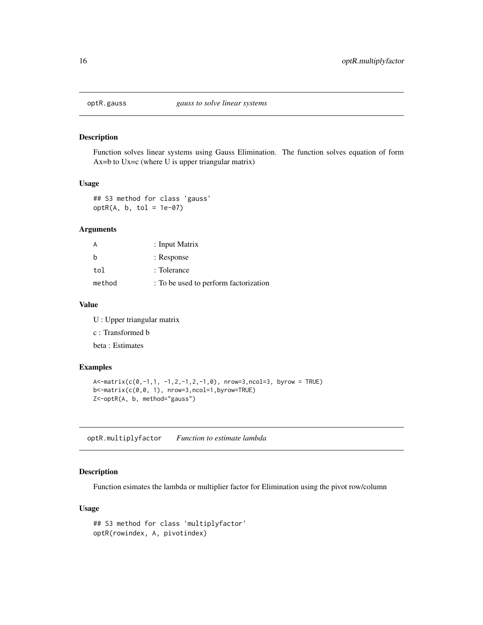<span id="page-15-0"></span>

#### Description

Function solves linear systems using Gauss Elimination. The function solves equation of form Ax=b to Ux=c (where U is upper triangular matrix)

#### Usage

## S3 method for class 'gauss'  $optR(A, b, tol = 1e-07)$ 

#### Arguments

| A      | : Input Matrix                        |
|--------|---------------------------------------|
| h      | : Response                            |
| tol    | : Tolerance                           |
| method | : To be used to perform factorization |

### Value

U : Upper triangular matrix c : Transformed b beta : Estimates

#### Examples

```
A \le -\text{matrix}(c(0,-1,1,-1,2,-1,2,-1,0), nrow=3,ncol=3, byrow = TRUE)
b<-matrix(c(0,0, 1), nrow=3,ncol=1,byrow=TRUE)
Z<-optR(A, b, method="gauss")
```
optR.multiplyfactor *Function to estimate lambda*

#### Description

Function esimates the lambda or multiplier factor for Elimination using the pivot row/column

## Usage

```
## S3 method for class 'multiplyfactor'
optR(rowindex, A, pivotindex)
```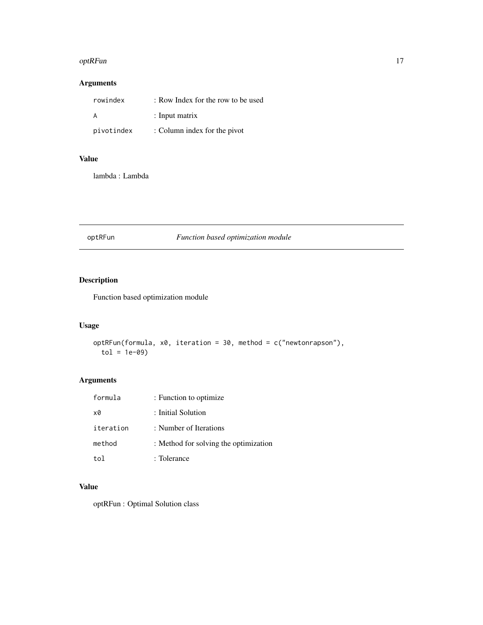#### <span id="page-16-0"></span>optRFun 17

## Arguments

| rowindex   | : Row Index for the row to be used |
|------------|------------------------------------|
| A          | $:$ Input matrix                   |
| pivotindex | : Column index for the pivot       |

## Value

lambda : Lambda

## optRFun *Function based optimization module*

## Description

Function based optimization module

## Usage

```
optRFun(formula, x0, iteration = 30, method = c("newtonrapson"),
  tol = 1e-09
```
## Arguments

| formula     | : Function to optimize                |
|-------------|---------------------------------------|
| x0          | : Initial Solution                    |
| iteration   | : Number of Iterations                |
| method      | : Method for solving the optimization |
| $f \circ l$ | : Tolerance                           |

## Value

optRFun : Optimal Solution class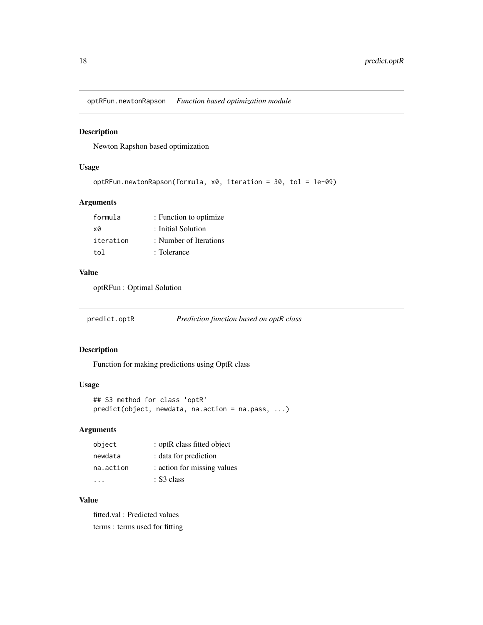<span id="page-17-0"></span>optRFun.newtonRapson *Function based optimization module*

#### Description

Newton Rapshon based optimization

#### Usage

```
optRFun.newtonRapson(formula, x0, iteration = 30, tol = 1e-09)
```
## Arguments

| formula   | : Function to optimize |
|-----------|------------------------|
| xØ        | : Initial Solution     |
| iteration | : Number of Iterations |
| tol       | : Tolerance            |

#### Value

optRFun : Optimal Solution

predict.optR *Prediction function based on optR class*

#### Description

Function for making predictions using OptR class

#### Usage

```
## S3 method for class 'optR'
predict(object, newdata, na.action = na.pass, ...)
```
## Arguments

| object    | : optR class fitted object  |
|-----------|-----------------------------|
| newdata   | : data for prediction       |
| na.action | : action for missing values |
|           | : S3 class                  |

## Value

fitted.val : Predicted values terms : terms used for fitting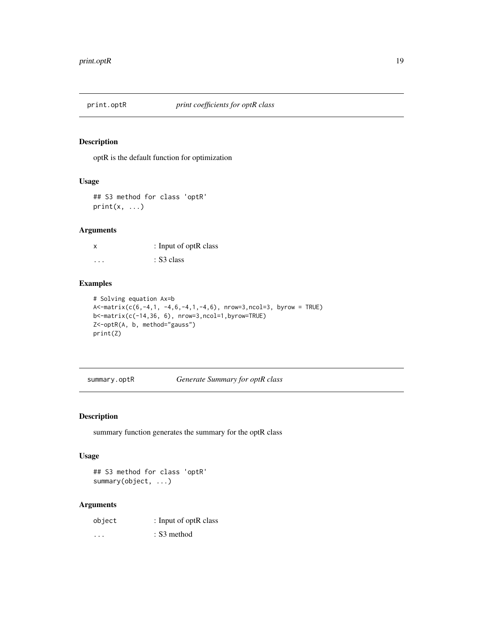<span id="page-18-0"></span>

## Description

optR is the default function for optimization

## Usage

## S3 method for class 'optR'  $print(x, \ldots)$ 

## Arguments

x : Input of optR class  $\cdots$  : S3 class

## Examples

```
# Solving equation Ax=b
A \le matrix(c(6,-4,1, -4,6,-4,1,-4,6), nrow=3,ncol=3, byrow = TRUE)
b<-matrix(c(-14,36, 6), nrow=3,ncol=1,byrow=TRUE)
Z<-optR(A, b, method="gauss")
print(Z)
```
summary.optR *Generate Summary for optR class*

## Description

summary function generates the summary for the optR class

## Usage

```
## S3 method for class 'optR'
summary(object, ...)
```
#### Arguments

| object   | : Input of optR class |
|----------|-----------------------|
| $\cdots$ | : S3 method           |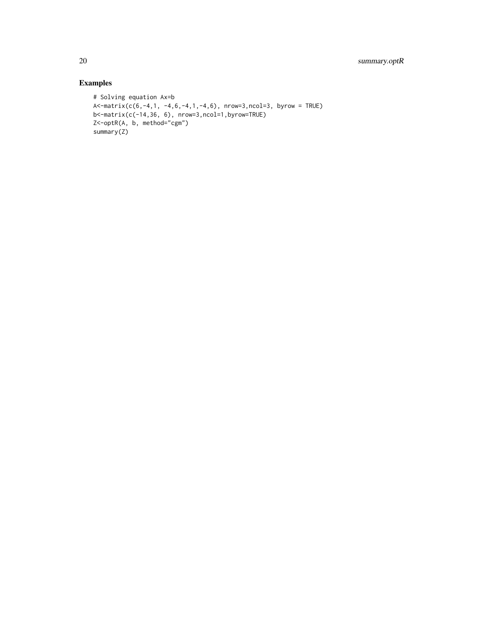```
# Solving equation Ax=b
A < -matrix(c(6,-4,1, -4,6,-4,1,-4,6), nrow=3,ncol=3, byrow = TRUE)
b<-matrix(c(-14,36, 6), nrow=3,ncol=1,byrow=TRUE)
Z<-optR(A, b, method="cgm")
summary(Z)
```